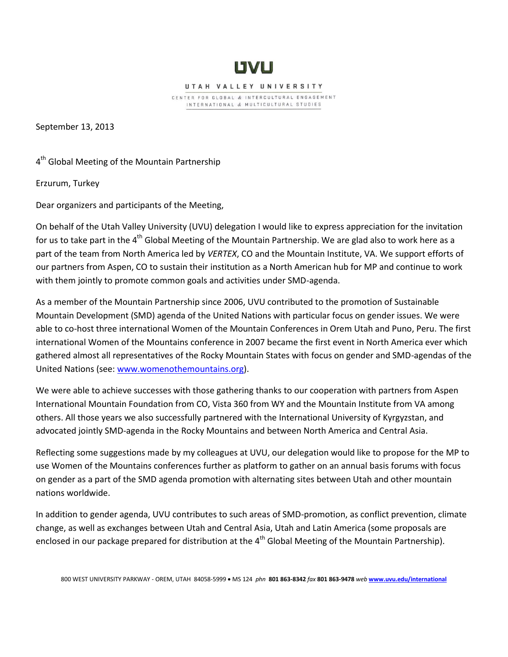

UTAH VALLEY UNIVERSITY

CENTER FOR GLOBAL & INTERCULTURAL ENGAGEMENT INTERNATIONAL & MULTICULTURAL STUDIES

September 13, 2013

4<sup>th</sup> Global Meeting of the Mountain Partnership

Erzurum, Turkey

Dear organizers and participants of the Meeting,

On behalf of the Utah Valley University (UVU) delegation I would like to express appreciation for the invitation for us to take part in the 4<sup>th</sup> Global Meeting of the Mountain Partnership. We are glad also to work here as a part of the team from North America led by *VERTEX*, CO and the Mountain Institute, VA. We support efforts of our partners from Aspen, CO to sustain their institution as a North American hub for MP and continue to work with them jointly to promote common goals and activities under SMD-agenda.

As a member of the Mountain Partnership since 2006, UVU contributed to the promotion of Sustainable Mountain Development (SMD) agenda of the United Nations with particular focus on gender issues. We were able to co-host three international Women of the Mountain Conferences in Orem Utah and Puno, Peru. The first international Women of the Mountains conference in 2007 became the first event in North America ever which gathered almost all representatives of the Rocky Mountain States with focus on gender and SMD-agendas of the United Nations (see: [www.womenothemountains.org\)](http://www.womenothemountains.org/).

We were able to achieve successes with those gathering thanks to our cooperation with partners from Aspen International Mountain Foundation from CO, Vista 360 from WY and the Mountain Institute from VA among others. All those years we also successfully partnered with the International University of Kyrgyzstan, and advocated jointly SMD-agenda in the Rocky Mountains and between North America and Central Asia.

Reflecting some suggestions made by my colleagues at UVU, our delegation would like to propose for the MP to use Women of the Mountains conferences further as platform to gather on an annual basis forums with focus on gender as a part of the SMD agenda promotion with alternating sites between Utah and other mountain nations worldwide.

In addition to gender agenda, UVU contributes to such areas of SMD-promotion, as conflict prevention, climate change, as well as exchanges between Utah and Central Asia, Utah and Latin America (some proposals are enclosed in our package prepared for distribution at the  $4<sup>th</sup>$  Global Meeting of the Mountain Partnership).